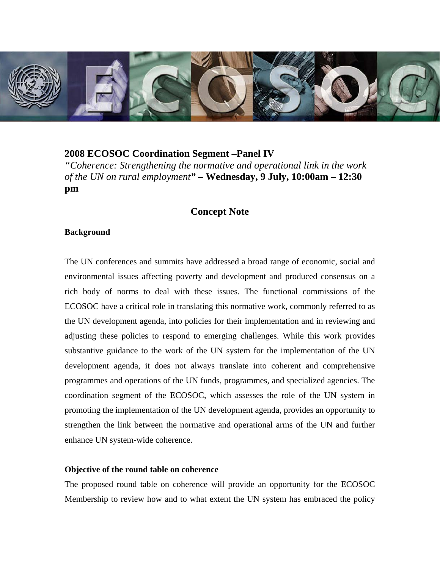

## **2008 ECOSOC Coordination Segment –Panel IV**

*"Coherence: Strengthening the normative and operational link in the work of the UN on rural employment"* **– Wednesday, 9 July, 10:00am – 12:30 pm** 

# **Concept Note**

### **Background**

The UN conferences and summits have addressed a broad range of economic, social and environmental issues affecting poverty and development and produced consensus on a rich body of norms to deal with these issues. The functional commissions of the ECOSOC have a critical role in translating this normative work, commonly referred to as the UN development agenda, into policies for their implementation and in reviewing and adjusting these policies to respond to emerging challenges. While this work provides substantive guidance to the work of the UN system for the implementation of the UN development agenda, it does not always translate into coherent and comprehensive programmes and operations of the UN funds, programmes, and specialized agencies. The coordination segment of the ECOSOC, which assesses the role of the UN system in promoting the implementation of the UN development agenda, provides an opportunity to strengthen the link between the normative and operational arms of the UN and further enhance UN system-wide coherence.

#### **Objective of the round table on coherence**

The proposed round table on coherence will provide an opportunity for the ECOSOC Membership to review how and to what extent the UN system has embraced the policy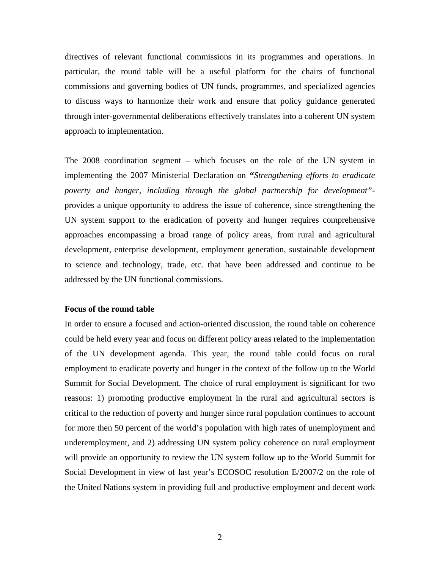directives of relevant functional commissions in its programmes and operations. In particular, the round table will be a useful platform for the chairs of functional commissions and governing bodies of UN funds, programmes, and specialized agencies to discuss ways to harmonize their work and ensure that policy guidance generated through inter-governmental deliberations effectively translates into a coherent UN system approach to implementation.

The 2008 coordination segment – which focuses on the role of the UN system in implementing the 2007 Ministerial Declaration on **"***Strengthening efforts to eradicate poverty and hunger, including through the global partnership for development"*  provides a unique opportunity to address the issue of coherence, since strengthening the UN system support to the eradication of poverty and hunger requires comprehensive approaches encompassing a broad range of policy areas, from rural and agricultural development, enterprise development, employment generation, sustainable development to science and technology, trade, etc. that have been addressed and continue to be addressed by the UN functional commissions.

### **Focus of the round table**

In order to ensure a focused and action-oriented discussion, the round table on coherence could be held every year and focus on different policy areas related to the implementation of the UN development agenda. This year, the round table could focus on rural employment to eradicate poverty and hunger in the context of the follow up to the World Summit for Social Development. The choice of rural employment is significant for two reasons: 1) promoting productive employment in the rural and agricultural sectors is critical to the reduction of poverty and hunger since rural population continues to account for more then 50 percent of the world's population with high rates of unemployment and underemployment, and 2) addressing UN system policy coherence on rural employment will provide an opportunity to review the UN system follow up to the World Summit for Social Development in view of last year's ECOSOC resolution E/2007/2 on the role of the United Nations system in providing full and productive employment and decent work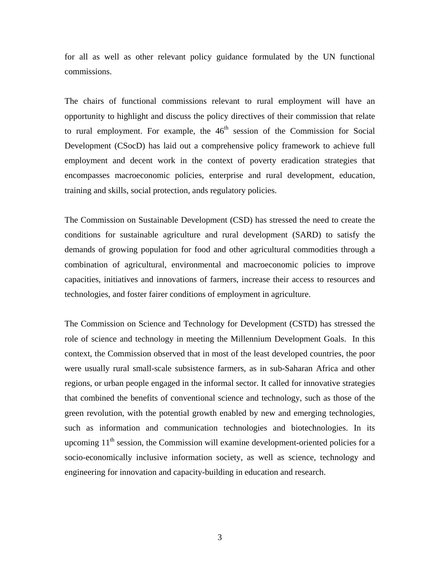for all as well as other relevant policy guidance formulated by the UN functional commissions.

The chairs of functional commissions relevant to rural employment will have an opportunity to highlight and discuss the policy directives of their commission that relate to rural employment. For example, the  $46<sup>th</sup>$  session of the Commission for Social Development (CSocD) has laid out a comprehensive policy framework to achieve full employment and decent work in the context of poverty eradication strategies that encompasses macroeconomic policies, enterprise and rural development, education, training and skills, social protection, ands regulatory policies.

The Commission on Sustainable Development (CSD) has stressed the need to create the conditions for sustainable agriculture and rural development (SARD) to satisfy the demands of growing population for food and other agricultural commodities through a combination of agricultural, environmental and macroeconomic policies to improve capacities, initiatives and innovations of farmers, increase their access to resources and technologies, and foster fairer conditions of employment in agriculture.

The Commission on Science and Technology for Development (CSTD) has stressed the role of science and technology in meeting the Millennium Development Goals. In this context, the Commission observed that in most of the least developed countries, the poor were usually rural small-scale subsistence farmers, as in sub-Saharan Africa and other regions, or urban people engaged in the informal sector. It called for innovative strategies that combined the benefits of conventional science and technology, such as those of the green revolution, with the potential growth enabled by new and emerging technologies, such as information and communication technologies and biotechnologies. In its upcoming  $11<sup>th</sup>$  session, the Commission will examine development-oriented policies for a socio-economically inclusive information society, as well as science, technology and engineering for innovation and capacity-building in education and research.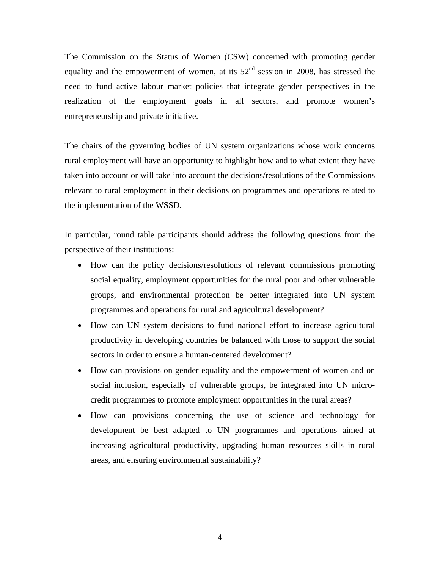The Commission on the Status of Women (CSW) concerned with promoting gender equality and the empowerment of women, at its  $52<sup>nd</sup>$  session in 2008, has stressed the need to fund active labour market policies that integrate gender perspectives in the realization of the employment goals in all sectors, and promote women's entrepreneurship and private initiative.

The chairs of the governing bodies of UN system organizations whose work concerns rural employment will have an opportunity to highlight how and to what extent they have taken into account or will take into account the decisions/resolutions of the Commissions relevant to rural employment in their decisions on programmes and operations related to the implementation of the WSSD.

In particular, round table participants should address the following questions from the perspective of their institutions:

- How can the policy decisions/resolutions of relevant commissions promoting social equality, employment opportunities for the rural poor and other vulnerable groups, and environmental protection be better integrated into UN system programmes and operations for rural and agricultural development?
- How can UN system decisions to fund national effort to increase agricultural productivity in developing countries be balanced with those to support the social sectors in order to ensure a human-centered development?
- How can provisions on gender equality and the empowerment of women and on social inclusion, especially of vulnerable groups, be integrated into UN microcredit programmes to promote employment opportunities in the rural areas?
- How can provisions concerning the use of science and technology for development be best adapted to UN programmes and operations aimed at increasing agricultural productivity, upgrading human resources skills in rural areas, and ensuring environmental sustainability?